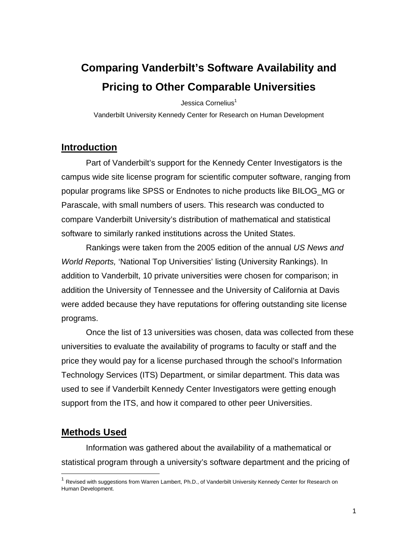# **Comparing Vanderbilt's Software Availability and Pricing to Other Comparable Universities**

Jessica Cornelius<sup>1</sup>

Vanderbilt University Kennedy Center for Research on Human Development

#### **Introduction**

Part of Vanderbilt's support for the Kennedy Center Investigators is the campus wide site license program for scientific computer software, ranging from popular programs like SPSS or Endnotes to niche products like BILOG\_MG or Parascale, with small numbers of users. This research was conducted to compare Vanderbilt University's distribution of mathematical and statistical software to similarly ranked institutions across the United States.

Rankings were taken from the 2005 edition of the annual *US News and World Reports,* 'National Top Universities' listing (University Rankings). In addition to Vanderbilt, 10 private universities were chosen for comparison; in addition the University of Tennessee and the University of California at Davis were added because they have reputations for offering outstanding site license programs.

Once the list of 13 universities was chosen, data was collected from these universities to evaluate the availability of programs to faculty or staff and the price they would pay for a license purchased through the school's Information Technology Services (ITS) Department, or similar department. This data was used to see if Vanderbilt Kennedy Center Investigators were getting enough support from the ITS, and how it compared to other peer Universities.

## **Methods Used**

 $\overline{a}$ 

Information was gathered about the availability of a mathematical or statistical program through a university's software department and the pricing of

<sup>&</sup>lt;sup>1</sup> Revised with suggestions from Warren Lambert, Ph.D., of Vanderbilt University Kennedy Center for Research on Human Development.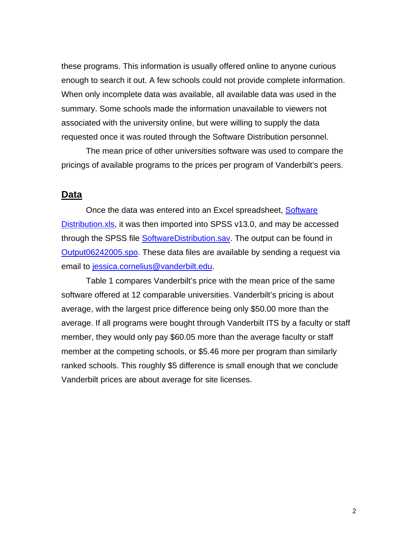these programs. This information is usually offered online to anyone curious enough to search it out. A few schools could not provide complete information. When only incomplete data was available, all available data was used in the summary. Some schools made the information unavailable to viewers not associated with the university online, but were willing to supply the data requested once it was routed through the Software Distribution personnel.

The mean price of other universities software was used to compare the pricings of available programs to the prices per program of Vanderbilt's peers.

#### **Data**

Once the data was entered into an Excel spreadsheet, Software Distribution.xls, it was then imported into SPSS v13.0, and may be accessed through the SPSS file SoftwareDistribution.sav. The output can be found in Output06242005.spo. These data files are available by sending a request via email to jessica.cornelius@vanderbilt.edu.

Table 1 compares Vanderbilt's price with the mean price of the same software offered at 12 comparable universities. Vanderbilt's pricing is about average, with the largest price difference being only \$50.00 more than the average. If all programs were bought through Vanderbilt ITS by a faculty or staff member, they would only pay \$60.05 more than the average faculty or staff member at the competing schools, or \$5.46 more per program than similarly ranked schools. This roughly \$5 difference is small enough that we conclude Vanderbilt prices are about average for site licenses.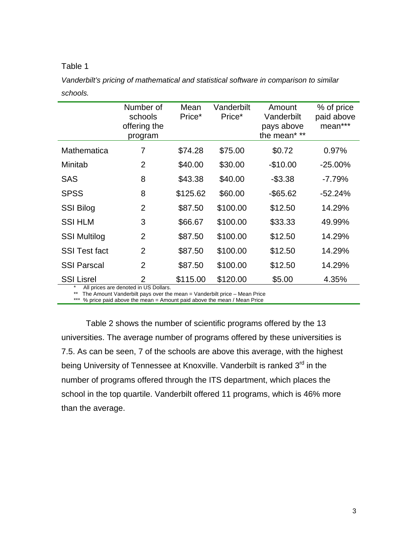#### Table 1

*Vanderbilt's pricing of mathematical and statistical software in comparison to similar schools.* 

|                      | Number of<br>schools<br>offering the<br>program | Mean<br>Price* | Vanderbilt<br>Price* | Amount<br>Vanderbilt<br>pays above<br>the mean* ** | % of price<br>paid above<br>mean*** |
|----------------------|-------------------------------------------------|----------------|----------------------|----------------------------------------------------|-------------------------------------|
| Mathematica          | 7                                               | \$74.28        | \$75.00              | \$0.72                                             | 0.97%                               |
| Minitab              | $\overline{2}$                                  | \$40.00        | \$30.00              | $-$10.00$                                          | $-25.00\%$                          |
| <b>SAS</b>           | 8                                               | \$43.38        | \$40.00              | $-$3.38$                                           | $-7.79%$                            |
| <b>SPSS</b>          | 8                                               | \$125.62       | \$60.00              | $-$ \$65.62                                        | $-52.24%$                           |
| <b>SSI Bilog</b>     | $\overline{2}$                                  | \$87.50        | \$100.00             | \$12.50                                            | 14.29%                              |
| <b>SSI HLM</b>       | 3                                               | \$66.67        | \$100.00             | \$33.33                                            | 49.99%                              |
| <b>SSI Multilog</b>  | $\overline{2}$                                  | \$87.50        | \$100.00             | \$12.50                                            | 14.29%                              |
| <b>SSI Test fact</b> | $\overline{2}$                                  | \$87.50        | \$100.00             | \$12.50                                            | 14.29%                              |
| <b>SSI Parscal</b>   | $\overline{2}$                                  | \$87.50        | \$100.00             | \$12.50                                            | 14.29%                              |
| <b>SSI Lisrel</b>    | $\overline{2}$                                  | \$115.00       | \$120.00             | \$5.00                                             | 4.35%                               |

All prices are denoted in US Dollars.

\*\* The Amount Vanderbilt pays over the mean = Vanderbilt price – Mean Price

\*\*\* % price paid above the mean = Amount paid above the mean / Mean Price

Table 2 shows the number of scientific programs offered by the 13 universities. The average number of programs offered by these universities is 7.5. As can be seen, 7 of the schools are above this average, with the highest being University of Tennessee at Knoxville. Vanderbilt is ranked 3<sup>rd</sup> in the number of programs offered through the ITS department, which places the school in the top quartile. Vanderbilt offered 11 programs, which is 46% more than the average.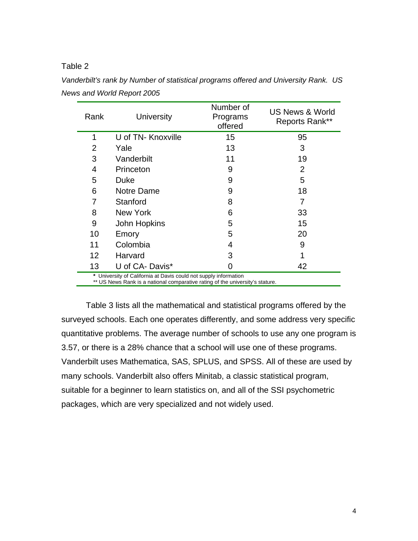#### Table 2

| Rank            | University         | Number of<br>Programs<br>offered | <b>US News &amp; World</b><br>Reports Rank** |
|-----------------|--------------------|----------------------------------|----------------------------------------------|
| 1               | U of TN- Knoxville | 15                               | 95                                           |
| $\overline{2}$  | Yale               | 13                               | 3                                            |
| 3               | Vanderbilt         | 11                               | 19                                           |
| 4               | Princeton          | 9                                | 2                                            |
| 5               | Duke               | 9                                | 5                                            |
| 6               | Notre Dame         | 9                                | 18                                           |
| 7               | Stanford           | 8                                | 7                                            |
| 8               | New York           | 6                                | 33                                           |
| 9               | John Hopkins       | 5                                | 15                                           |
| 10              | Emory              | 5                                | 20                                           |
| 11              | Colombia           | 4                                | 9                                            |
| 12 <sub>2</sub> | Harvard            | 3                                |                                              |
| 13              | U of CA-Davis*     | 0                                | 42                                           |

*Vanderbilt's rank by Number of statistical programs offered and University Rank. US News and World Report 2005* 

Table 3 lists all the mathematical and statistical programs offered by the surveyed schools. Each one operates differently, and some address very specific quantitative problems. The average number of schools to use any one program is 3.57, or there is a 28% chance that a school will use one of these programs. Vanderbilt uses Mathematica, SAS, SPLUS, and SPSS. All of these are used by many schools. Vanderbilt also offers Minitab, a classic statistical program, suitable for a beginner to learn statistics on, and all of the SSI psychometric packages, which are very specialized and not widely used.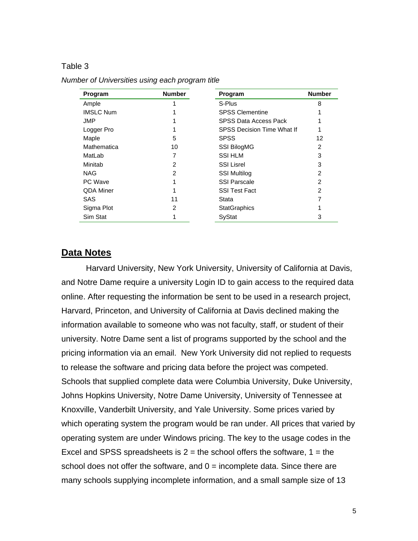#### Table 3

| Program          | <b>Number</b>  | Program                           | <b>Number</b> |
|------------------|----------------|-----------------------------------|---------------|
| Ample            |                | S-Plus                            | 8             |
| <b>IMSLC Num</b> |                | <b>SPSS Clementine</b>            |               |
| JMP              |                | SPSS Data Access Pack             |               |
| Logger Pro       |                | <b>SPSS Decision Time What If</b> | 1             |
| Maple            | 5              | <b>SPSS</b>                       | 12            |
| Mathematica      | 10             | <b>SSI BilogMG</b>                | 2             |
| MatLab           | 7              | <b>SSI HLM</b>                    | 3             |
| Minitab          | $\overline{2}$ | <b>SSI Lisrel</b>                 | 3             |
| <b>NAG</b>       | 2              | <b>SSI Multilog</b>               | 2             |
| PC Wave          | 1              | <b>SSI Parscale</b>               | 2             |
| QDA Miner        | 1              | <b>SSI Test Fact</b>              | $\mathcal{P}$ |
| <b>SAS</b>       | 11             | Stata                             |               |
| Sigma Plot       | $\overline{2}$ | <b>StatGraphics</b>               |               |
| Sim Stat         |                | SyStat                            | 3             |

*Number of Universities using each program title* 

#### **Data Notes**

 Harvard University, New York University, University of California at Davis, and Notre Dame require a university Login ID to gain access to the required data online. After requesting the information be sent to be used in a research project, Harvard, Princeton, and University of California at Davis declined making the information available to someone who was not faculty, staff, or student of their university. Notre Dame sent a list of programs supported by the school and the pricing information via an email. New York University did not replied to requests to release the software and pricing data before the project was competed. Schools that supplied complete data were Columbia University, Duke University, Johns Hopkins University, Notre Dame University, University of Tennessee at Knoxville, Vanderbilt University, and Yale University. Some prices varied by which operating system the program would be ran under. All prices that varied by operating system are under Windows pricing. The key to the usage codes in the Excel and SPSS spreadsheets is  $2 =$  the school offers the software,  $1 =$  the school does not offer the software, and  $0 =$  incomplete data. Since there are many schools supplying incomplete information, and a small sample size of 13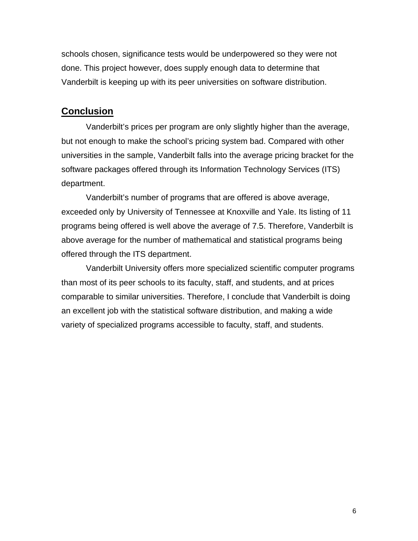schools chosen, significance tests would be underpowered so they were not done. This project however, does supply enough data to determine that Vanderbilt is keeping up with its peer universities on software distribution.

#### **Conclusion**

Vanderbilt's prices per program are only slightly higher than the average, but not enough to make the school's pricing system bad. Compared with other universities in the sample, Vanderbilt falls into the average pricing bracket for the software packages offered through its Information Technology Services (ITS) department.

Vanderbilt's number of programs that are offered is above average, exceeded only by University of Tennessee at Knoxville and Yale. Its listing of 11 programs being offered is well above the average of 7.5. Therefore, Vanderbilt is above average for the number of mathematical and statistical programs being offered through the ITS department.

Vanderbilt University offers more specialized scientific computer programs than most of its peer schools to its faculty, staff, and students, and at prices comparable to similar universities. Therefore, I conclude that Vanderbilt is doing an excellent job with the statistical software distribution, and making a wide variety of specialized programs accessible to faculty, staff, and students.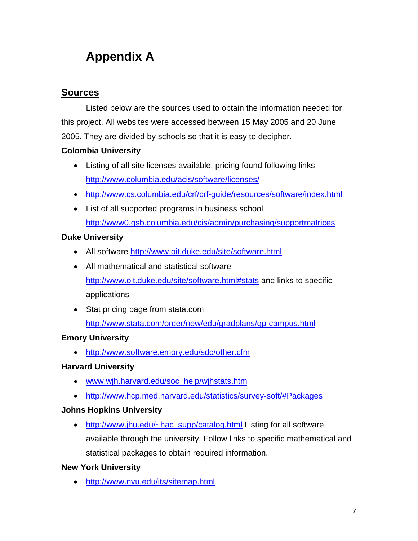# **Appendix A**

## **Sources**

Listed below are the sources used to obtain the information needed for this project. All websites were accessed between 15 May 2005 and 20 June 2005. They are divided by schools so that it is easy to decipher.

## **Colombia University**

- Listing of all site licenses available, pricing found following links http://www.columbia.edu/acis/software/licenses/
- http://www.cs.columbia.edu/crf/crf-guide/resources/software/index.html
- List of all supported programs in business school http://www0.gsb.columbia.edu/cis/admin/purchasing/supportmatrices

## **Duke University**

- All software http://www.oit.duke.edu/site/software.html
- All mathematical and statistical software http://www.oit.duke.edu/site/software.html#stats and links to specific applications
- Stat pricing page from stata.com http://www.stata.com/order/new/edu/gradplans/gp-campus.html

## **Emory University**

• http://www.software.emory.edu/sdc/other.cfm

## **Harvard University**

- www.wjh.harvard.edu/soc\_help/wjhstats.htm
- http://www.hcp.med.harvard.edu/statistics/survey-soft/#Packages

## **Johns Hopkins University**

• http://www.jhu.edu/~hac\_supp/catalog.html Listing for all software available through the university. Follow links to specific mathematical and statistical packages to obtain required information.

## **New York University**

• http://www.nyu.edu/its/sitemap.html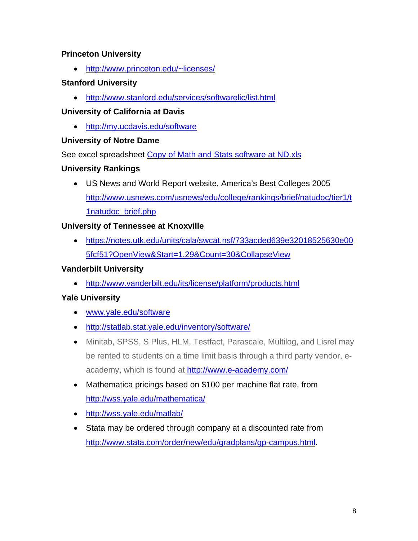## **Princeton University**

• http://www.princeton.edu/~licenses/

#### **Stanford University**

• http://www.stanford.edu/services/softwarelic/list.html

## **University of California at Davis**

• http://my.ucdavis.edu/software

## **University of Notre Dame**

See excel spreadsheet Copy of Math and Stats software at ND.xls

## **University Rankings**

• US News and World Report website, America's Best Colleges 2005 http://www.usnews.com/usnews/edu/college/rankings/brief/natudoc/tier1/t 1natudoc\_brief.php

## **University of Tennessee at Knoxville**

• https://notes.utk.edu/units/cala/swcat.nsf/733acded639e32018525630e00 5fcf51?OpenView&Start=1.29&Count=30&CollapseView

## **Vanderbilt University**

• http://www.vanderbilt.edu/its/license/platform/products.html

## **Yale University**

- www.yale.edu/software
- http://statlab.stat.yale.edu/inventory/software/
- Minitab, SPSS, S Plus, HLM, Testfact, Parascale, Multilog, and Lisrel may be rented to students on a time limit basis through a third party vendor, eacademy, which is found at **http://www.e-academy.com/**
- Mathematica pricings based on \$100 per machine flat rate, from http://wss.yale.edu/mathematica/
- http://wss.yale.edu/matlab/
- Stata may be ordered through company at a discounted rate from http://www.stata.com/order/new/edu/gradplans/gp-campus.html.